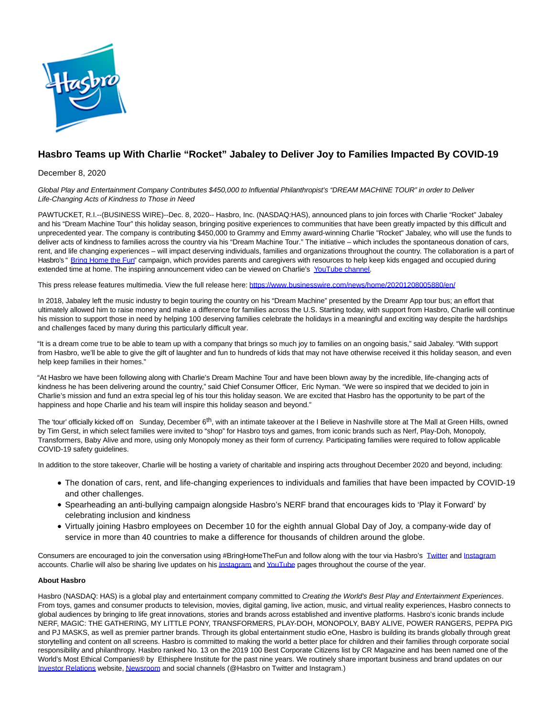

## **Hasbro Teams up With Charlie "Rocket" Jabaley to Deliver Joy to Families Impacted By COVID-19**

December 8, 2020

Global Play and Entertainment Company Contributes \$450,000 to Influential Philanthropist's "DREAM MACHINE TOUR" in order to Deliver Life-Changing Acts of Kindness to Those in Need

PAWTUCKET, R.I.--(BUSINESS WIRE)--Dec. 8, 2020-- Hasbro, Inc. (NASDAQ:HAS), announced plans to join forces with Charlie "Rocket" Jabaley and his "Dream Machine Tour" this holiday season, bringing positive experiences to communities that have been greatly impacted by this difficult and unprecedented year. The company is contributing \$450,000 to Grammy and Emmy award-winning Charlie "Rocket" Jabaley, who will use the funds to deliver acts of kindness to families across the country via his "Dream Machine Tour." The initiative – which includes the spontaneous donation of cars, rent, and life changing experiences – will impact deserving individuals, families and organizations throughout the country. The collaboration is a part of Hasbro's " [Bring Home the Fun"](https://cts.businesswire.com/ct/CT?id=smartlink&url=https%3A%2F%2Fshop.hasbro.com%2Fen-us%2Fbring-home-the-fun&esheet=52344867&newsitemid=20201208005880&lan=en-US&anchor=Bring+Home+the+Fun&index=1&md5=3cc32babb6ed9ac3f0d3c7e5031e5420) campaign, which provides parents and caregivers with resources to help keep kids engaged and occupied during extended time at home. The inspiring announcement video can be viewed on Charlie's [YouTube channel.](https://cts.businesswire.com/ct/CT?id=smartlink&url=https%3A%2F%2Fwww.youtube.com%2Fwatch%3Fv%3DsrEWuATYYdA%26feature%3Dyoutu.be&esheet=52344867&newsitemid=20201208005880&lan=en-US&anchor=YouTube+channel&index=2&md5=18f7aee206e387e89cf7ed83271bf624)

This press release features multimedia. View the full release here:<https://www.businesswire.com/news/home/20201208005880/en/>

In 2018, Jabaley left the music industry to begin touring the country on his "Dream Machine" presented by the Dreamr App tour bus; an effort that ultimately allowed him to raise money and make a difference for families across the U.S. Starting today, with support from Hasbro, Charlie will continue his mission to support those in need by helping 100 deserving families celebrate the holidays in a meaningful and exciting way despite the hardships and challenges faced by many during this particularly difficult year.

"It is a dream come true to be able to team up with a company that brings so much joy to families on an ongoing basis," said Jabaley. "With support from Hasbro, we'll be able to give the gift of laughter and fun to hundreds of kids that may not have otherwise received it this holiday season, and even help keep families in their homes."

"At Hasbro we have been following along with Charlie's Dream Machine Tour and have been blown away by the incredible, life-changing acts of kindness he has been delivering around the country," said Chief Consumer Officer, Eric Nyman. "We were so inspired that we decided to join in Charlie's mission and fund an extra special leg of his tour this holiday season. We are excited that Hasbro has the opportunity to be part of the happiness and hope Charlie and his team will inspire this holiday season and beyond."

The 'tour' officially kicked off on Sunday, December 6<sup>th</sup>, with an intimate takeover at the I Believe in Nashville store at The Mall at Green Hills, owned by Tim Gerst, in which select families were invited to "shop" for Hasbro toys and games, from iconic brands such as Nerf, Play-Doh, Monopoly, Transformers, Baby Alive and more, using only Monopoly money as their form of currency. Participating families were required to follow applicable COVID-19 safety guidelines.

In addition to the store takeover, Charlie will be hosting a variety of charitable and inspiring acts throughout December 2020 and beyond, including:

- The donation of cars, rent, and life-changing experiences to individuals and families that have been impacted by COVID-19 and other challenges.
- Spearheading an anti-bullying campaign alongside Hasbro's NERF brand that encourages kids to 'Play it Forward' by celebrating inclusion and kindness
- Virtually joining Hasbro employees on December 10 for the eighth annual Global Day of Joy, a company-wide day of service in more than 40 countries to make a difference for thousands of children around the globe.

Consumers are encouraged to join the conversation using #BringHomeTheFun and follow along with the tour via Hasbro's [Twitter a](https://cts.businesswire.com/ct/CT?id=smartlink&url=https%3A%2F%2Fwww.twitter.com%2Fhasbro&esheet=52344867&newsitemid=20201208005880&lan=en-US&anchor=Twitter&index=3&md5=36d9ba17999762b18b9cc3bf7ddb727c)nd [Instagram](https://cts.businesswire.com/ct/CT?id=smartlink&url=https%3A%2F%2Fwww.instagram.com%2Fhasbro&esheet=52344867&newsitemid=20201208005880&lan=en-US&anchor=Instagram&index=4&md5=704ab1792d4755571b0e8e8e3fcc4220) accounts. Charlie will also be sharing live updates on hi[s Instagram a](https://cts.businesswire.com/ct/CT?id=smartlink&url=https%3A%2F%2Fwww.instagram.com%2Fcharlie%2F%3Fhl%3Den&esheet=52344867&newsitemid=20201208005880&lan=en-US&anchor=Instagram&index=5&md5=d74f5a33028c947a3ba8e7f72f70fbce)n[d YouTube p](https://cts.businesswire.com/ct/CT?id=smartlink&url=https%3A%2F%2Fwww.youtube.com%2Fc%2FCharlieRocketJabaley%2Fplaylists&esheet=52344867&newsitemid=20201208005880&lan=en-US&anchor=YouTube&index=6&md5=badee841b5a1da1d2231c4d0a3ab9d69)ages throughout the course of the year.

## **About Hasbro**

Hasbro (NASDAQ: HAS) is a global play and entertainment company committed to Creating the World's Best Play and Entertainment Experiences. From toys, games and consumer products to television, movies, digital gaming, live action, music, and virtual reality experiences, Hasbro connects to global audiences by bringing to life great innovations, stories and brands across established and inventive platforms. Hasbro's iconic brands include NERF, MAGIC: THE GATHERING, MY LITTLE PONY, TRANSFORMERS, PLAY-DOH, MONOPOLY, BABY ALIVE, POWER RANGERS, PEPPA PIG and PJ MASKS, as well as premier partner brands. Through its global entertainment studio eOne, Hasbro is building its brands globally through great storytelling and content on all screens. Hasbro is committed to making the world a better place for children and their families through corporate social responsibility and philanthropy. Hasbro ranked No. 13 on the 2019 100 Best Corporate Citizens list by CR Magazine and has been named one of the World's Most Ethical Companies® by Ethisphere Institute for the past nine years. We routinely share important business and brand updates on our [Investor Relations w](https://cts.businesswire.com/ct/CT?id=smartlink&url=https%3A%2F%2Fnam03.safelinks.protection.outlook.com%2F%3Furl%3Dhttp%253A%252F%252Finvestor.hasbro.com%252F%26data%3D02%257C01%257CErin.Pearce%2540hasbro.com%257Cb34e5fd8efb940841f0a08d7cf312acb%257C701edd3ec7a84789b1ce8a243620d68f%257C0%257C0%257C637205682387014175%26sdata%3DnOwV2yY2e46fRCoTmEx1JUin%252FhKn0gbTjYRMOIiodfA%253D%26reserved%3D0&esheet=52344867&newsitemid=20201208005880&lan=en-US&anchor=Investor+Relations&index=7&md5=c6be87cdec151bfcde2e1be69d2af858)ebsite[, Newsroom a](https://cts.businesswire.com/ct/CT?id=smartlink&url=https%3A%2F%2Fnam03.safelinks.protection.outlook.com%2F%3Furl%3Dhttp%253A%252F%252Fnewsroom.hasbro.com%252F%26data%3D02%257C01%257CErin.Pearce%2540hasbro.com%257Cb34e5fd8efb940841f0a08d7cf312acb%257C701edd3ec7a84789b1ce8a243620d68f%257C0%257C0%257C637205682387024122%26sdata%3D5aO6mXBcQuKH8GpJOuIbYzlGFzNQgPZ%252Bs62QX80cK7s%253D%26reserved%3D0&esheet=52344867&newsitemid=20201208005880&lan=en-US&anchor=Newsroom&index=8&md5=a338c47453f3371d06c28631c9358a3e)nd social channels (@Hasbro on Twitter and Instagram.)